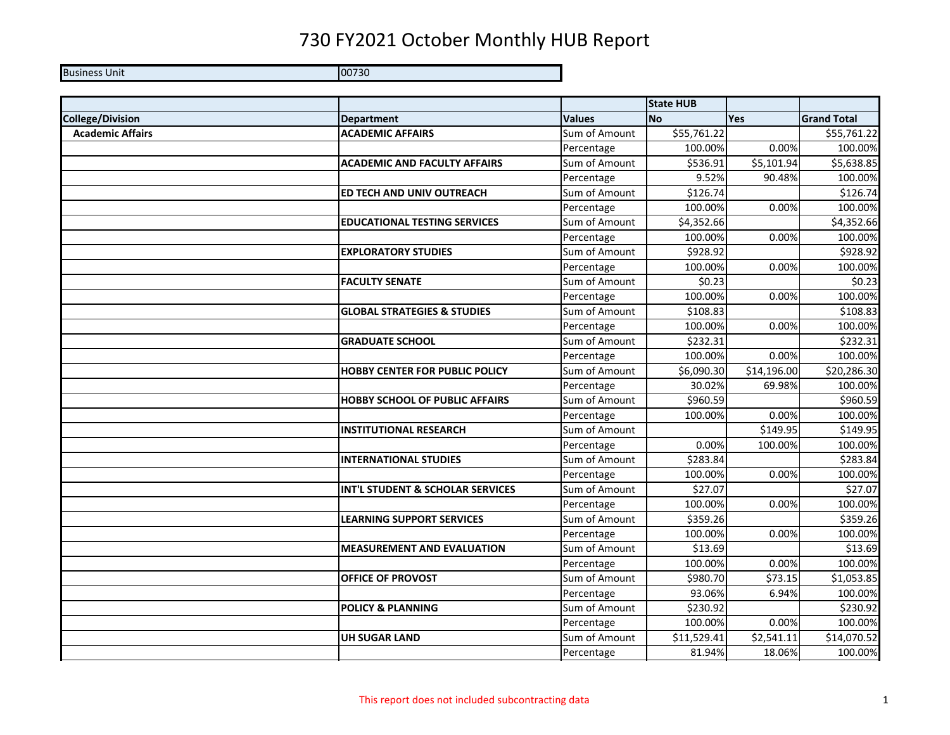Business Unit 00730

|                         |                                        |               | <b>State HUB</b> |             |                    |
|-------------------------|----------------------------------------|---------------|------------------|-------------|--------------------|
| <b>College/Division</b> | <b>Department</b>                      | <b>Values</b> | <b>No</b>        | Yes         | <b>Grand Total</b> |
| <b>Academic Affairs</b> | <b>ACADEMIC AFFAIRS</b>                | Sum of Amount | \$55,761.22      |             | \$55,761.22        |
|                         |                                        | Percentage    | 100.00%          | 0.00%       | 100.00%            |
|                         | <b>ACADEMIC AND FACULTY AFFAIRS</b>    | Sum of Amount | \$536.91         | \$5,101.94  | \$5,638.85         |
|                         |                                        | Percentage    | 9.52%            | 90.48%      | 100.00%            |
|                         | ED TECH AND UNIV OUTREACH              | Sum of Amount | \$126.74         |             | \$126.74           |
|                         |                                        | Percentage    | 100.00%          | 0.00%       | 100.00%            |
|                         | <b>EDUCATIONAL TESTING SERVICES</b>    | Sum of Amount | \$4,352.66       |             | \$4,352.66         |
|                         |                                        | Percentage    | 100.00%          | 0.00%       | 100.00%            |
|                         | <b>EXPLORATORY STUDIES</b>             | Sum of Amount | \$928.92         |             | \$928.92           |
|                         |                                        | Percentage    | 100.00%          | 0.00%       | 100.00%            |
|                         | <b>FACULTY SENATE</b>                  | Sum of Amount | \$0.23           |             | \$0.23             |
|                         |                                        | Percentage    | 100.00%          | 0.00%       | 100.00%            |
|                         | <b>GLOBAL STRATEGIES &amp; STUDIES</b> | Sum of Amount | \$108.83         |             | \$108.83           |
|                         |                                        | Percentage    | 100.00%          | 0.00%       | 100.00%            |
|                         | <b>GRADUATE SCHOOL</b>                 | Sum of Amount | \$232.31         |             | \$232.31           |
|                         |                                        | Percentage    | 100.00%          | 0.00%       | 100.00%            |
|                         | <b>HOBBY CENTER FOR PUBLIC POLICY</b>  | Sum of Amount | \$6,090.30       | \$14,196.00 | \$20,286.30        |
|                         |                                        | Percentage    | 30.02%           | 69.98%      | 100.00%            |
|                         | <b>HOBBY SCHOOL OF PUBLIC AFFAIRS</b>  | Sum of Amount | \$960.59         |             | \$960.59           |
|                         |                                        | Percentage    | 100.00%          | 0.00%       | 100.00%            |
|                         | <b>INSTITUTIONAL RESEARCH</b>          | Sum of Amount |                  | \$149.95    | \$149.95           |
|                         |                                        | Percentage    | 0.00%            | 100.00%     | 100.00%            |
|                         | <b>INTERNATIONAL STUDIES</b>           | Sum of Amount | \$283.84         |             | \$283.84           |
|                         |                                        | Percentage    | 100.00%          | 0.00%       | 100.00%            |
|                         | INT'L STUDENT & SCHOLAR SERVICES       | Sum of Amount | \$27.07          |             | \$27.07            |
|                         |                                        | Percentage    | 100.00%          | 0.00%       | 100.00%            |
|                         | <b>LEARNING SUPPORT SERVICES</b>       | Sum of Amount | \$359.26         |             | \$359.26           |
|                         |                                        | Percentage    | 100.00%          | 0.00%       | 100.00%            |
|                         | <b>MEASUREMENT AND EVALUATION</b>      | Sum of Amount | \$13.69          |             | \$13.69            |
|                         |                                        | Percentage    | 100.00%          | 0.00%       | 100.00%            |
|                         | OFFICE OF PROVOST                      | Sum of Amount | \$980.70         | \$73.15     | \$1,053.85         |
|                         |                                        | Percentage    | 93.06%           | 6.94%       | 100.00%            |
|                         | <b>POLICY &amp; PLANNING</b>           | Sum of Amount | \$230.92         |             | \$230.92           |
|                         |                                        | Percentage    | 100.00%          | 0.00%       | 100.00%            |
|                         | <b>UH SUGAR LAND</b>                   | Sum of Amount | \$11,529.41      | \$2,541.11  | \$14,070.52        |
|                         |                                        | Percentage    | 81.94%           | 18.06%      | 100.00%            |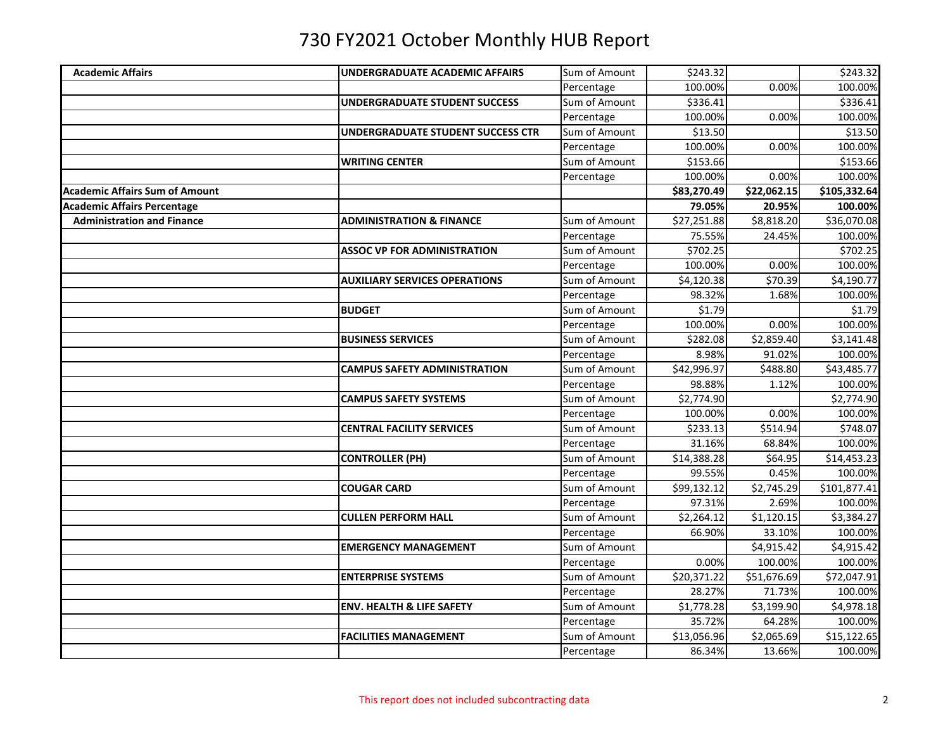| <b>Academic Affairs</b>               | UNDERGRADUATE ACADEMIC AFFAIRS       | Sum of Amount | \$243.32    |             | \$243.32     |
|---------------------------------------|--------------------------------------|---------------|-------------|-------------|--------------|
|                                       |                                      | Percentage    | 100.00%     | 0.00%       | 100.00%      |
|                                       | UNDERGRADUATE STUDENT SUCCESS        | Sum of Amount | \$336.41    |             | \$336.41     |
|                                       |                                      | Percentage    | 100.00%     | 0.00%       | 100.00%      |
|                                       | UNDERGRADUATE STUDENT SUCCESS CTR    | Sum of Amount | \$13.50     |             | \$13.50      |
|                                       |                                      | Percentage    | 100.00%     | 0.00%       | 100.00%      |
|                                       | <b>WRITING CENTER</b>                | Sum of Amount | \$153.66    |             | \$153.66     |
|                                       |                                      | Percentage    | 100.00%     | 0.00%       | 100.00%      |
| <b>Academic Affairs Sum of Amount</b> |                                      |               | \$83,270.49 | \$22,062.15 | \$105,332.64 |
| <b>Academic Affairs Percentage</b>    |                                      |               | 79.05%      | 20.95%      | 100.00%      |
| <b>Administration and Finance</b>     | <b>ADMINISTRATION &amp; FINANCE</b>  | Sum of Amount | \$27,251.88 | \$8,818.20  | \$36,070.08  |
|                                       |                                      | Percentage    | 75.55%      | 24.45%      | 100.00%      |
|                                       | <b>ASSOC VP FOR ADMINISTRATION</b>   | Sum of Amount | \$702.25    |             | \$702.25     |
|                                       |                                      | Percentage    | 100.00%     | 0.00%       | 100.00%      |
|                                       | <b>AUXILIARY SERVICES OPERATIONS</b> | Sum of Amount | \$4,120.38  | \$70.39     | \$4,190.77   |
|                                       |                                      | Percentage    | 98.32%      | 1.68%       | 100.00%      |
|                                       | <b>BUDGET</b>                        | Sum of Amount | \$1.79      |             | \$1.79       |
|                                       |                                      | Percentage    | 100.00%     | 0.00%       | 100.00%      |
|                                       | <b>BUSINESS SERVICES</b>             | Sum of Amount | \$282.08    | \$2,859.40  | \$3,141.48   |
|                                       |                                      | Percentage    | 8.98%       | 91.02%      | 100.00%      |
|                                       | <b>CAMPUS SAFETY ADMINISTRATION</b>  | Sum of Amount | \$42,996.97 | \$488.80    | \$43,485.77  |
|                                       |                                      | Percentage    | 98.88%      | 1.12%       | 100.00%      |
|                                       | <b>CAMPUS SAFETY SYSTEMS</b>         | Sum of Amount | \$2,774.90  |             | \$2,774.90   |
|                                       |                                      | Percentage    | 100.00%     | 0.00%       | 100.00%      |
|                                       | <b>CENTRAL FACILITY SERVICES</b>     | Sum of Amount | \$233.13    | \$514.94    | \$748.07     |
|                                       |                                      | Percentage    | 31.16%      | 68.84%      | 100.00%      |
|                                       | <b>CONTROLLER (PH)</b>               | Sum of Amount | \$14,388.28 | \$64.95     | \$14,453.23  |
|                                       |                                      | Percentage    | 99.55%      | 0.45%       | 100.00%      |
|                                       | <b>COUGAR CARD</b>                   | Sum of Amount | \$99,132.12 | \$2,745.29  | \$101,877.41 |
|                                       |                                      | Percentage    | 97.31%      | 2.69%       | 100.00%      |
|                                       | <b>CULLEN PERFORM HALL</b>           | Sum of Amount | \$2,264.12  | \$1,120.15  | \$3,384.27   |
|                                       |                                      | Percentage    | 66.90%      | 33.10%      | 100.00%      |
|                                       | <b>EMERGENCY MANAGEMENT</b>          | Sum of Amount |             | \$4,915.42  | \$4,915.42   |
|                                       |                                      | Percentage    | 0.00%       | 100.00%     | 100.00%      |
|                                       | <b>ENTERPRISE SYSTEMS</b>            | Sum of Amount | \$20,371.22 | \$51,676.69 | \$72,047.91  |
|                                       |                                      | Percentage    | 28.27%      | 71.73%      | 100.00%      |
|                                       | <b>ENV. HEALTH &amp; LIFE SAFETY</b> | Sum of Amount | \$1,778.28  | \$3,199.90  | \$4,978.18   |
|                                       |                                      | Percentage    | 35.72%      | 64.28%      | 100.00%      |
|                                       | <b>FACILITIES MANAGEMENT</b>         | Sum of Amount | \$13,056.96 | \$2,065.69  | \$15,122.65  |
|                                       |                                      | Percentage    | 86.34%      | 13.66%      | 100.00%      |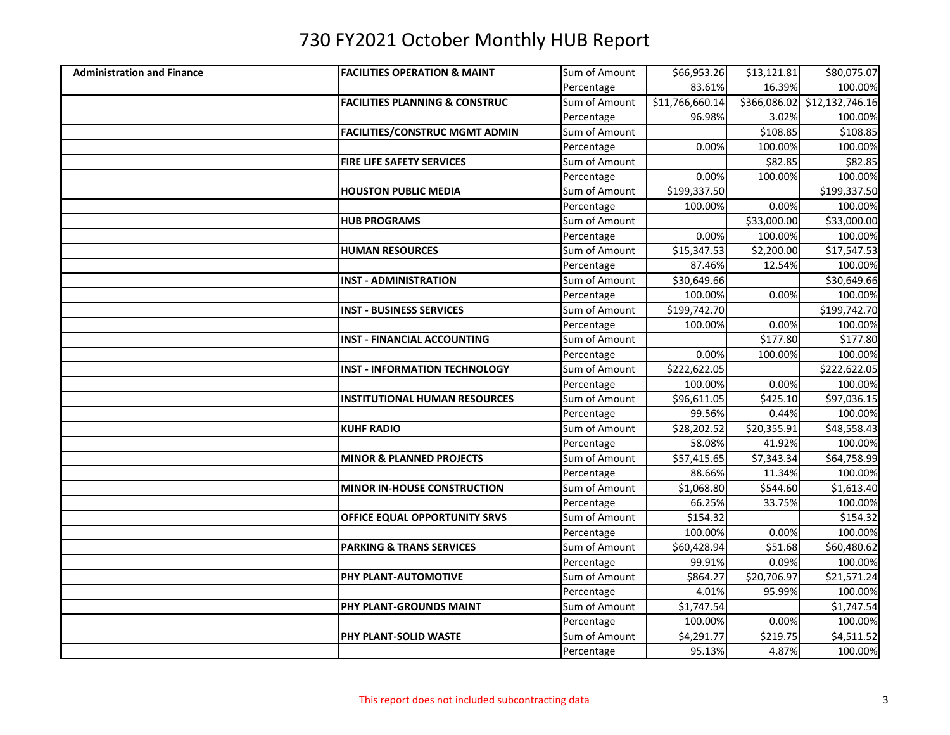| <b>Administration and Finance</b> | <b>FACILITIES OPERATION &amp; MAINT</b>   | Sum of Amount | \$66,953.26     | \$13,121.81 | \$80,075.07                  |
|-----------------------------------|-------------------------------------------|---------------|-----------------|-------------|------------------------------|
|                                   |                                           | Percentage    | 83.61%          | 16.39%      | 100.00%                      |
|                                   | <b>FACILITIES PLANNING &amp; CONSTRUC</b> | Sum of Amount | \$11,766,660.14 |             | \$366,086.02 \$12,132,746.16 |
|                                   |                                           | Percentage    | 96.98%          | 3.02%       | 100.00%                      |
|                                   | <b>FACILITIES/CONSTRUC MGMT ADMIN</b>     | Sum of Amount |                 | \$108.85    | \$108.85                     |
|                                   |                                           | Percentage    | 0.00%           | 100.00%     | 100.00%                      |
|                                   | <b>FIRE LIFE SAFETY SERVICES</b>          | Sum of Amount |                 | \$82.85     | \$82.85                      |
|                                   |                                           | Percentage    | 0.00%           | 100.00%     | 100.00%                      |
|                                   | <b>HOUSTON PUBLIC MEDIA</b>               | Sum of Amount | \$199,337.50    |             | \$199,337.50                 |
|                                   |                                           | Percentage    | 100.00%         | 0.00%       | 100.00%                      |
|                                   | <b>HUB PROGRAMS</b>                       | Sum of Amount |                 | \$33,000.00 | \$33,000.00                  |
|                                   |                                           | Percentage    | 0.00%           | 100.00%     | 100.00%                      |
|                                   | <b>HUMAN RESOURCES</b>                    | Sum of Amount | \$15,347.53     | \$2,200.00  | \$17,547.53                  |
|                                   |                                           | Percentage    | 87.46%          | 12.54%      | 100.00%                      |
|                                   | <b>INST - ADMINISTRATION</b>              | Sum of Amount | \$30,649.66     |             | \$30,649.66                  |
|                                   |                                           | Percentage    | 100.00%         | 0.00%       | 100.00%                      |
|                                   | <b>INST - BUSINESS SERVICES</b>           | Sum of Amount | \$199,742.70    |             | \$199,742.70                 |
|                                   |                                           | Percentage    | 100.00%         | 0.00%       | 100.00%                      |
|                                   | <b>INST - FINANCIAL ACCOUNTING</b>        | Sum of Amount |                 | \$177.80    | \$177.80                     |
|                                   |                                           | Percentage    | 0.00%           | 100.00%     | 100.00%                      |
|                                   | <b>INST - INFORMATION TECHNOLOGY</b>      | Sum of Amount | \$222,622.05    |             | \$222,622.05                 |
|                                   |                                           | Percentage    | 100.00%         | 0.00%       | 100.00%                      |
|                                   | <b>INSTITUTIONAL HUMAN RESOURCES</b>      | Sum of Amount | \$96,611.05     | \$425.10    | \$97,036.15                  |
|                                   |                                           | Percentage    | 99.56%          | 0.44%       | 100.00%                      |
|                                   | <b>KUHF RADIO</b>                         | Sum of Amount | \$28,202.52     | \$20,355.91 | \$48,558.43                  |
|                                   |                                           | Percentage    | 58.08%          | 41.92%      | 100.00%                      |
|                                   | <b>MINOR &amp; PLANNED PROJECTS</b>       | Sum of Amount | \$57,415.65     | \$7,343.34  | \$64,758.99                  |
|                                   |                                           | Percentage    | 88.66%          | 11.34%      | 100.00%                      |
|                                   | MINOR IN-HOUSE CONSTRUCTION               | Sum of Amount | \$1,068.80      | \$544.60    | \$1,613.40                   |
|                                   |                                           | Percentage    | 66.25%          | 33.75%      | 100.00%                      |
|                                   | OFFICE EQUAL OPPORTUNITY SRVS             | Sum of Amount | \$154.32        |             | \$154.32                     |
|                                   |                                           | Percentage    | 100.00%         | 0.00%       | 100.00%                      |
|                                   | <b>PARKING &amp; TRANS SERVICES</b>       | Sum of Amount | \$60,428.94     | \$51.68     | \$60,480.62                  |
|                                   |                                           | Percentage    | 99.91%          | 0.09%       | 100.00%                      |
|                                   | PHY PLANT-AUTOMOTIVE                      | Sum of Amount | \$864.27        | \$20,706.97 | \$21,571.24                  |
|                                   |                                           | Percentage    | 4.01%           | 95.99%      | 100.00%                      |
|                                   | <b>PHY PLANT-GROUNDS MAINT</b>            | Sum of Amount | \$1,747.54      |             | \$1,747.54                   |
|                                   |                                           | Percentage    | 100.00%         | 0.00%       | 100.00%                      |
|                                   | PHY PLANT-SOLID WASTE                     | Sum of Amount | \$4,291.77      | \$219.75    | \$4,511.52                   |
|                                   |                                           | Percentage    | 95.13%          | 4.87%       | 100.00%                      |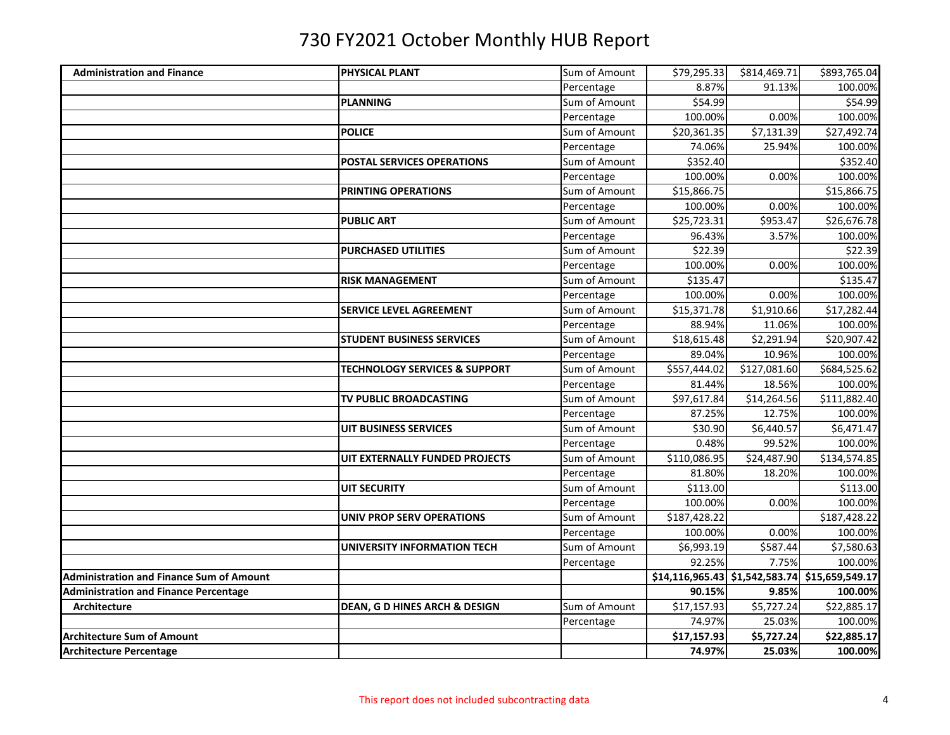| <b>Administration and Finance</b>               | PHYSICAL PLANT                           | Sum of Amount | \$79,295.33  | \$814,469.71 | \$893,765.04                                   |
|-------------------------------------------------|------------------------------------------|---------------|--------------|--------------|------------------------------------------------|
|                                                 |                                          | Percentage    | 8.87%        | 91.13%       | 100.00%                                        |
|                                                 | PLANNING                                 | Sum of Amount | \$54.99      |              | \$54.99                                        |
|                                                 |                                          | Percentage    | 100.00%      | 0.00%        | 100.00%                                        |
|                                                 | <b>POLICE</b>                            | Sum of Amount | \$20,361.35  | \$7,131.39   | \$27,492.74                                    |
|                                                 |                                          | Percentage    | 74.06%       | 25.94%       | 100.00%                                        |
|                                                 | <b>POSTAL SERVICES OPERATIONS</b>        | Sum of Amount | \$352.40     |              | \$352.40                                       |
|                                                 |                                          | Percentage    | 100.00%      | 0.00%        | 100.00%                                        |
|                                                 | <b>PRINTING OPERATIONS</b>               | Sum of Amount | \$15,866.75  |              | \$15,866.75                                    |
|                                                 |                                          | Percentage    | 100.00%      | 0.00%        | 100.00%                                        |
|                                                 | <b>PUBLIC ART</b>                        | Sum of Amount | \$25,723.31  | \$953.47     | \$26,676.78                                    |
|                                                 |                                          | Percentage    | 96.43%       | 3.57%        | 100.00%                                        |
|                                                 | <b>PURCHASED UTILITIES</b>               | Sum of Amount | \$22.39      |              | \$22.39                                        |
|                                                 |                                          | Percentage    | 100.00%      | 0.00%        | 100.00%                                        |
|                                                 | <b>RISK MANAGEMENT</b>                   | Sum of Amount | \$135.47     |              | \$135.47                                       |
|                                                 |                                          | Percentage    | 100.00%      | 0.00%        | 100.00%                                        |
|                                                 | <b>SERVICE LEVEL AGREEMENT</b>           | Sum of Amount | \$15,371.78  | \$1,910.66   | \$17,282.44                                    |
|                                                 |                                          | Percentage    | 88.94%       | 11.06%       | 100.00%                                        |
|                                                 | <b>STUDENT BUSINESS SERVICES</b>         | Sum of Amount | \$18,615.48  | \$2,291.94   | \$20,907.42                                    |
|                                                 |                                          | Percentage    | 89.04%       | 10.96%       | 100.00%                                        |
|                                                 | <b>TECHNOLOGY SERVICES &amp; SUPPORT</b> | Sum of Amount | \$557,444.02 | \$127,081.60 | \$684,525.62                                   |
|                                                 |                                          | Percentage    | 81.44%       | 18.56%       | 100.00%                                        |
|                                                 | <b>TV PUBLIC BROADCASTING</b>            | Sum of Amount | \$97,617.84  | \$14,264.56  | \$111,882.40                                   |
|                                                 |                                          | Percentage    | 87.25%       | 12.75%       | 100.00%                                        |
|                                                 | UIT BUSINESS SERVICES                    | Sum of Amount | \$30.90      | \$6,440.57   | \$6,471.47                                     |
|                                                 |                                          | Percentage    | 0.48%        | 99.52%       | 100.00%                                        |
|                                                 | UIT EXTERNALLY FUNDED PROJECTS           | Sum of Amount | \$110,086.95 | \$24,487.90  | \$134,574.85                                   |
|                                                 |                                          | Percentage    | 81.80%       | 18.20%       | 100.00%                                        |
|                                                 | <b>UIT SECURITY</b>                      | Sum of Amount | \$113.00     |              | \$113.00                                       |
|                                                 |                                          | Percentage    | 100.00%      | 0.00%        | 100.00%                                        |
|                                                 | <b>UNIV PROP SERV OPERATIONS</b>         | Sum of Amount | \$187,428.22 |              | \$187,428.22                                   |
|                                                 |                                          | Percentage    | 100.00%      | 0.00%        | 100.00%                                        |
|                                                 | UNIVERSITY INFORMATION TECH              | Sum of Amount | \$6,993.19   | \$587.44     | \$7,580.63                                     |
|                                                 |                                          | Percentage    | 92.25%       | 7.75%        | 100.00%                                        |
| <b>Administration and Finance Sum of Amount</b> |                                          |               |              |              | \$14,116,965.43 \$1,542,583.74 \$15,659,549.17 |
| <b>Administration and Finance Percentage</b>    |                                          |               | 90.15%       | 9.85%        | 100.00%                                        |
| Architecture                                    | DEAN, G D HINES ARCH & DESIGN            | Sum of Amount | \$17,157.93  | \$5,727.24   | \$22,885.17                                    |
|                                                 |                                          | Percentage    | 74.97%       | 25.03%       | 100.00%                                        |
| <b>Architecture Sum of Amount</b>               |                                          |               | \$17,157.93  | \$5,727.24   | \$22,885.17                                    |
| <b>Architecture Percentage</b>                  |                                          |               | 74.97%       | 25.03%       | 100.00%                                        |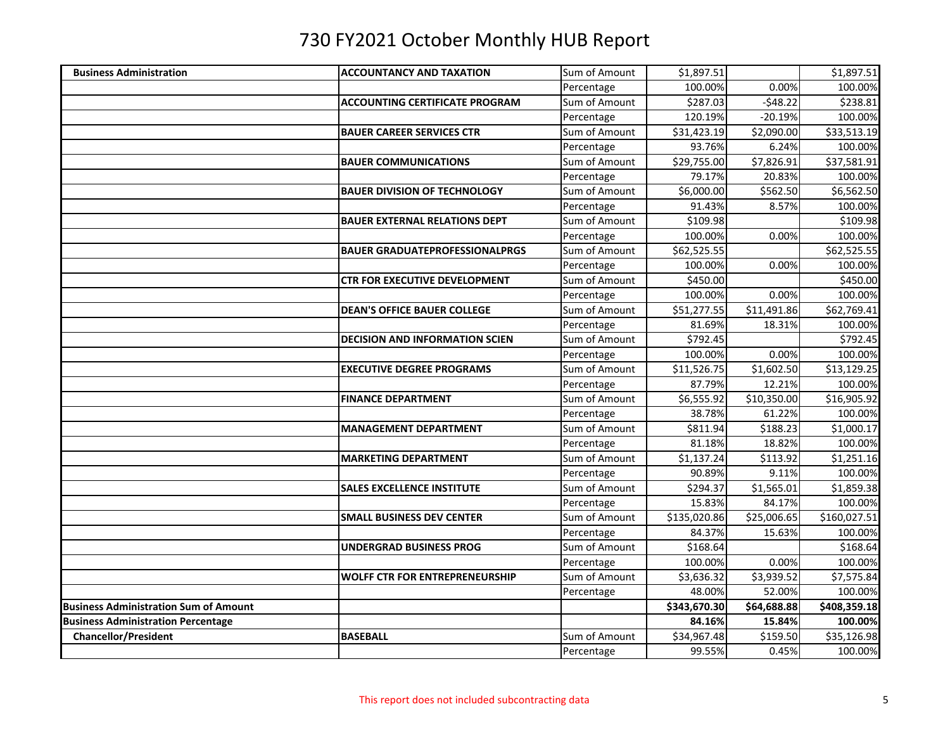| <b>Business Administration</b>               | <b>ACCOUNTANCY AND TAXATION</b>       | Sum of Amount | \$1,897.51             |                         | \$1,897.51   |
|----------------------------------------------|---------------------------------------|---------------|------------------------|-------------------------|--------------|
|                                              |                                       | Percentage    | 100.00%                | 0.00%                   | 100.00%      |
|                                              | <b>ACCOUNTING CERTIFICATE PROGRAM</b> | Sum of Amount | \$287.03               | $-548.22$               | \$238.81     |
|                                              |                                       | Percentage    | 120.19%                | $-20.19%$               | 100.00%      |
|                                              | <b>BAUER CAREER SERVICES CTR</b>      | Sum of Amount | \$31,423.19            | \$2,090.00              | \$33,513.19  |
|                                              |                                       | Percentage    | 93.76%                 | 6.24%                   | 100.00%      |
|                                              | <b>BAUER COMMUNICATIONS</b>           | Sum of Amount | \$29,755.00            | \$7,826.91              | \$37,581.91  |
|                                              |                                       | Percentage    | 79.17%                 | 20.83%                  | 100.00%      |
|                                              | <b>BAUER DIVISION OF TECHNOLOGY</b>   | Sum of Amount | \$6,000.00             | \$562.50                | \$6,562.50   |
|                                              |                                       | Percentage    | 91.43%                 | 8.57%                   | 100.00%      |
|                                              | <b>BAUER EXTERNAL RELATIONS DEPT</b>  | Sum of Amount | \$109.98               |                         | \$109.98     |
|                                              |                                       | Percentage    | 100.00%                | 0.00%                   | 100.00%      |
|                                              | <b>BAUER GRADUATEPROFESSIONALPRGS</b> | Sum of Amount | \$62,525.55            |                         | \$62,525.55  |
|                                              |                                       | Percentage    | 100.00%                | 0.00%                   | 100.00%      |
|                                              | <b>CTR FOR EXECUTIVE DEVELOPMENT</b>  | Sum of Amount | \$450.00               |                         | \$450.00     |
|                                              |                                       | Percentage    | 100.00%                | 0.00%                   | 100.00%      |
|                                              | <b>DEAN'S OFFICE BAUER COLLEGE</b>    | Sum of Amount | \$51,277.55            | \$11,491.86             | \$62,769.41  |
|                                              |                                       | Percentage    | 81.69%                 | 18.31%                  | 100.00%      |
|                                              | <b>DECISION AND INFORMATION SCIEN</b> | Sum of Amount | \$792.45               |                         | \$792.45     |
|                                              |                                       | Percentage    | 100.00%                | 0.00%                   | 100.00%      |
|                                              | <b>EXECUTIVE DEGREE PROGRAMS</b>      | Sum of Amount | \$11,526.75            | \$1,602.50              | \$13,129.25  |
|                                              |                                       | Percentage    | 87.79%                 | 12.21%                  | 100.00%      |
|                                              | <b>FINANCE DEPARTMENT</b>             | Sum of Amount | \$6,555.92             | $\overline{$}10,350.00$ | \$16,905.92  |
|                                              |                                       | Percentage    | 38.78%                 | 61.22%                  | 100.00%      |
|                                              | <b>MANAGEMENT DEPARTMENT</b>          | Sum of Amount | \$811.94               | \$188.23                | \$1,000.17   |
|                                              |                                       | Percentage    | 81.18%                 | 18.82%                  | 100.00%      |
|                                              | <b>MARKETING DEPARTMENT</b>           | Sum of Amount | $\overline{51,}137.24$ | \$113.92                | \$1,251.16   |
|                                              |                                       | Percentage    | 90.89%                 | 9.11%                   | 100.00%      |
|                                              | <b>SALES EXCELLENCE INSTITUTE</b>     | Sum of Amount | \$294.37               | \$1,565.01              | \$1,859.38   |
|                                              |                                       | Percentage    | 15.83%                 | 84.17%                  | 100.00%      |
|                                              | <b>SMALL BUSINESS DEV CENTER</b>      | Sum of Amount | \$135,020.86           | \$25,006.65             | \$160,027.51 |
|                                              |                                       | Percentage    | 84.37%                 | 15.63%                  | 100.00%      |
|                                              | <b>UNDERGRAD BUSINESS PROG</b>        | Sum of Amount | \$168.64               |                         | \$168.64     |
|                                              |                                       | Percentage    | 100.00%                | 0.00%                   | 100.00%      |
|                                              | <b>WOLFF CTR FOR ENTREPRENEURSHIP</b> | Sum of Amount | \$3,636.32             | \$3,939.52              | \$7,575.84   |
|                                              |                                       | Percentage    | 48.00%                 | 52.00%                  | 100.00%      |
| <b>Business Administration Sum of Amount</b> |                                       |               | \$343,670.30           | \$64,688.88             | \$408,359.18 |
| <b>Business Administration Percentage</b>    |                                       |               | 84.16%                 | 15.84%                  | 100.00%      |
| <b>Chancellor/President</b>                  | <b>BASEBALL</b>                       | Sum of Amount | \$34,967.48            | \$159.50                | \$35,126.98  |
|                                              |                                       | Percentage    | 99.55%                 | 0.45%                   | 100.00%      |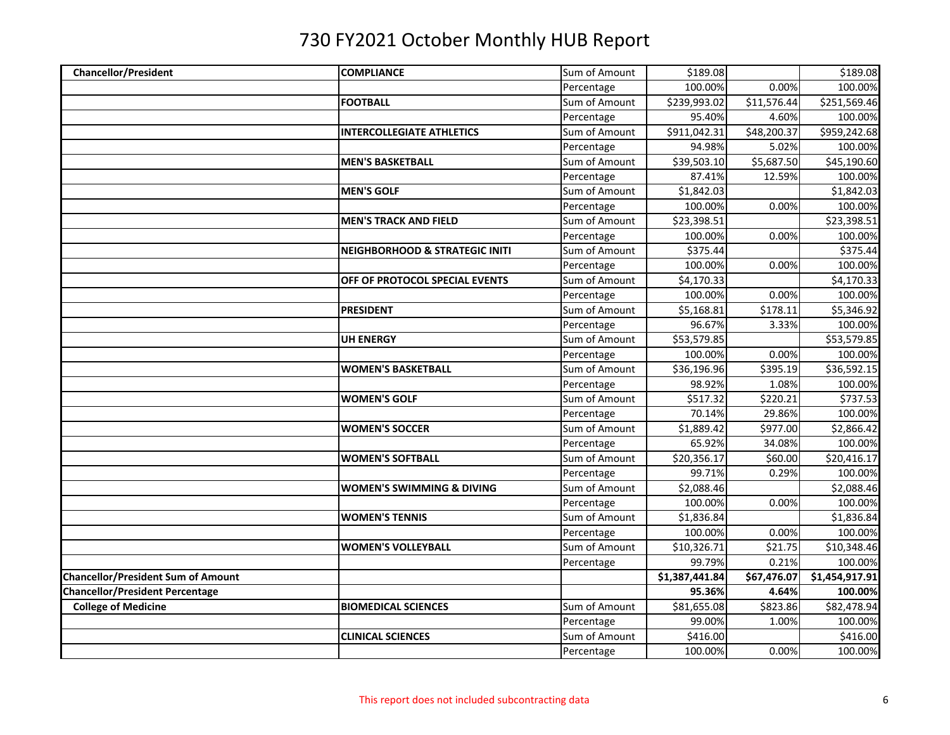| <b>Chancellor/President</b>               | <b>COMPLIANCE</b>                         | Sum of Amount | \$189.08       |             | \$189.08       |
|-------------------------------------------|-------------------------------------------|---------------|----------------|-------------|----------------|
|                                           |                                           | Percentage    | 100.00%        | 0.00%       | 100.00%        |
|                                           | <b>FOOTBALL</b>                           | Sum of Amount | \$239,993.02   | \$11,576.44 | \$251,569.46   |
|                                           |                                           | Percentage    | 95.40%         | 4.60%       | 100.00%        |
|                                           | <b>INTERCOLLEGIATE ATHLETICS</b>          | Sum of Amount | \$911,042.31   | \$48,200.37 | \$959,242.68   |
|                                           |                                           | Percentage    | 94.98%         | 5.02%       | 100.00%        |
|                                           | <b>MEN'S BASKETBALL</b>                   | Sum of Amount | \$39,503.10    | \$5,687.50  | \$45,190.60    |
|                                           |                                           | Percentage    | 87.41%         | 12.59%      | 100.00%        |
|                                           | <b>MEN'S GOLF</b>                         | Sum of Amount | \$1,842.03     |             | \$1,842.03     |
|                                           |                                           | Percentage    | 100.00%        | 0.00%       | 100.00%        |
|                                           | <b>MEN'S TRACK AND FIELD</b>              | Sum of Amount | \$23,398.51    |             | \$23,398.51    |
|                                           |                                           | Percentage    | 100.00%        | 0.00%       | 100.00%        |
|                                           | <b>NEIGHBORHOOD &amp; STRATEGIC INITI</b> | Sum of Amount | \$375.44       |             | \$375.44       |
|                                           |                                           | Percentage    | 100.00%        | 0.00%       | 100.00%        |
|                                           | OFF OF PROTOCOL SPECIAL EVENTS            | Sum of Amount | \$4,170.33     |             | \$4,170.33     |
|                                           |                                           | Percentage    | 100.00%        | 0.00%       | 100.00%        |
|                                           | <b>PRESIDENT</b>                          | Sum of Amount | \$5,168.81     | \$178.11    | \$5,346.92     |
|                                           |                                           | Percentage    | 96.67%         | 3.33%       | 100.00%        |
|                                           | <b>UH ENERGY</b>                          | Sum of Amount | \$53,579.85    |             | \$53,579.85    |
|                                           |                                           | Percentage    | 100.00%        | 0.00%       | 100.00%        |
|                                           | <b>WOMEN'S BASKETBALL</b>                 | Sum of Amount | \$36,196.96    | \$395.19    | \$36,592.15    |
|                                           |                                           | Percentage    | 98.92%         | 1.08%       | 100.00%        |
|                                           | <b>WOMEN'S GOLF</b>                       | Sum of Amount | \$517.32       | \$220.21    | \$737.53       |
|                                           |                                           | Percentage    | 70.14%         | 29.86%      | 100.00%        |
|                                           | <b>WOMEN'S SOCCER</b>                     | Sum of Amount | \$1,889.42     | \$977.00    | \$2,866.42     |
|                                           |                                           | Percentage    | 65.92%         | 34.08%      | 100.00%        |
|                                           | <b>WOMEN'S SOFTBALL</b>                   | Sum of Amount | \$20,356.17    | \$60.00     | \$20,416.17    |
|                                           |                                           | Percentage    | 99.71%         | 0.29%       | 100.00%        |
|                                           | <b>WOMEN'S SWIMMING &amp; DIVING</b>      | Sum of Amount | \$2,088.46     |             | \$2,088.46     |
|                                           |                                           | Percentage    | 100.00%        | 0.00%       | 100.00%        |
|                                           | <b>WOMEN'S TENNIS</b>                     | Sum of Amount | \$1,836.84     |             | \$1,836.84     |
|                                           |                                           | Percentage    | 100.00%        | 0.00%       | 100.00%        |
|                                           | <b>WOMEN'S VOLLEYBALL</b>                 | Sum of Amount | \$10,326.71    | \$21.75     | \$10,348.46    |
|                                           |                                           | Percentage    | 99.79%         | 0.21%       | 100.00%        |
| <b>Chancellor/President Sum of Amount</b> |                                           |               | \$1,387,441.84 | \$67,476.07 | \$1,454,917.91 |
| <b>Chancellor/President Percentage</b>    |                                           |               | 95.36%         | 4.64%       | 100.00%        |
| <b>College of Medicine</b>                | <b>BIOMEDICAL SCIENCES</b>                | Sum of Amount | \$81,655.08    | \$823.86    | \$82,478.94    |
|                                           |                                           | Percentage    | 99.00%         | 1.00%       | 100.00%        |
|                                           | <b>CLINICAL SCIENCES</b>                  | Sum of Amount | \$416.00       |             | \$416.00       |
|                                           |                                           | Percentage    | 100.00%        | 0.00%       | 100.00%        |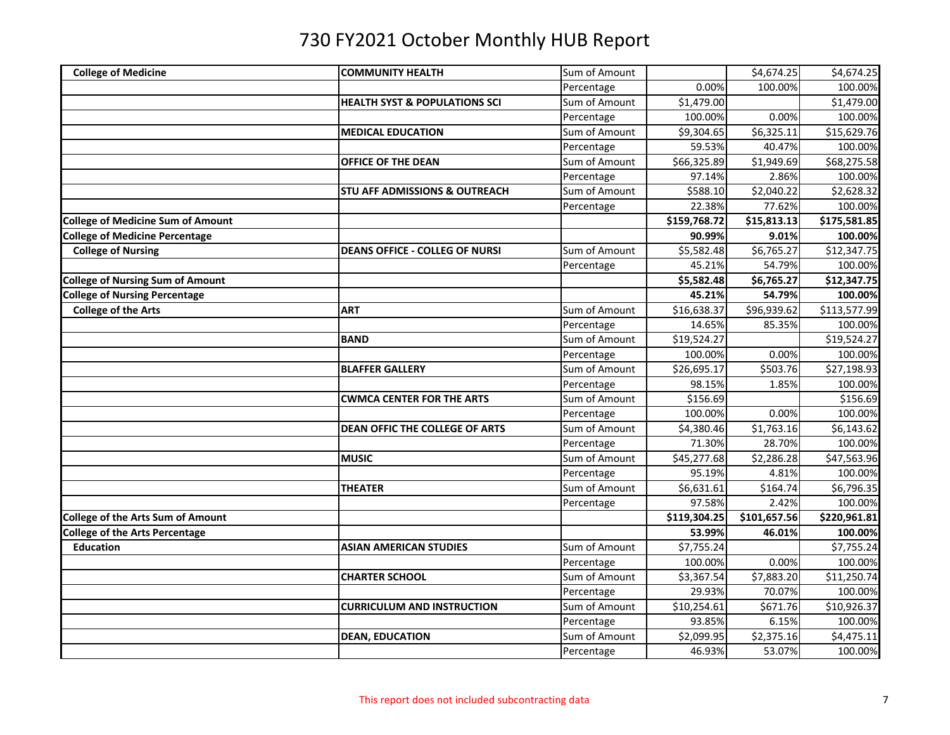| <b>College of Medicine</b>               | <b>COMMUNITY HEALTH</b>                  | Sum of Amount |              | \$4,674.25               | \$4,674.25   |
|------------------------------------------|------------------------------------------|---------------|--------------|--------------------------|--------------|
|                                          |                                          | Percentage    | 0.00%        | 100.00%                  | 100.00%      |
|                                          | <b>HEALTH SYST &amp; POPULATIONS SCI</b> | Sum of Amount | \$1,479.00   |                          | \$1,479.00   |
|                                          |                                          | Percentage    | 100.00%      | 0.00%                    | 100.00%      |
|                                          | <b>MEDICAL EDUCATION</b>                 | Sum of Amount | \$9,304.65   | \$6,325.11               | \$15,629.76  |
|                                          |                                          | Percentage    | 59.53%       | 40.47%                   | 100.00%      |
|                                          | OFFICE OF THE DEAN                       | Sum of Amount | \$66,325.89  | \$1,949.69               | \$68,275.58  |
|                                          |                                          | Percentage    | 97.14%       | 2.86%                    | 100.00%      |
|                                          | <b>STU AFF ADMISSIONS &amp; OUTREACH</b> | Sum of Amount | \$588.10     | \$2,040.22               | \$2,628.32   |
|                                          |                                          | Percentage    | 22.38%       | 77.62%                   | 100.00%      |
| <b>College of Medicine Sum of Amount</b> |                                          |               | \$159,768.72 | \$15,813.13              | \$175,581.85 |
| <b>College of Medicine Percentage</b>    |                                          |               | 90.99%       | 9.01%                    | 100.00%      |
| <b>College of Nursing</b>                | <b>DEANS OFFICE - COLLEG OF NURSI</b>    | Sum of Amount | \$5,582.48   | \$6,765.27               | \$12,347.75  |
|                                          |                                          | Percentage    | 45.21%       | 54.79%                   | 100.00%      |
| <b>College of Nursing Sum of Amount</b>  |                                          |               | \$5,582.48   | \$6,765.27               | \$12,347.75  |
| <b>College of Nursing Percentage</b>     |                                          |               | 45.21%       | 54.79%                   | 100.00%      |
| <b>College of the Arts</b>               | <b>ART</b>                               | Sum of Amount | \$16,638.37  | \$96,939.62              | \$113,577.99 |
|                                          |                                          | Percentage    | 14.65%       | 85.35%                   | 100.00%      |
|                                          | <b>BAND</b>                              | Sum of Amount | \$19,524.27  |                          | \$19,524.27  |
|                                          |                                          | Percentage    | 100.00%      | 0.00%                    | 100.00%      |
|                                          | <b>BLAFFER GALLERY</b>                   | Sum of Amount | \$26,695.17  | \$503.76                 | \$27,198.93  |
|                                          |                                          | Percentage    | 98.15%       | 1.85%                    | 100.00%      |
|                                          | <b>CWMCA CENTER FOR THE ARTS</b>         | Sum of Amount | \$156.69     |                          | \$156.69     |
|                                          |                                          | Percentage    | 100.00%      | 0.00%                    | 100.00%      |
|                                          | <b>DEAN OFFIC THE COLLEGE OF ARTS</b>    | Sum of Amount | \$4,380.46   | \$1,763.16               | \$6,143.62   |
|                                          |                                          | Percentage    | 71.30%       | 28.70%                   | 100.00%      |
|                                          | <b>MUSIC</b>                             | Sum of Amount | \$45,277.68  | \$2,286.28               | \$47,563.96  |
|                                          |                                          | Percentage    | 95.19%       | 4.81%                    | 100.00%      |
|                                          | THEATER                                  | Sum of Amount | \$6,631.61   | \$164.74                 | \$6,796.35   |
|                                          |                                          | Percentage    | 97.58%       | 2.42%                    | 100.00%      |
| <b>College of the Arts Sum of Amount</b> |                                          |               | \$119,304.25 | $\overline{$}101,657.56$ | \$220,961.81 |
| <b>College of the Arts Percentage</b>    |                                          |               | 53.99%       | 46.01%                   | 100.00%      |
| <b>Education</b>                         | <b>ASIAN AMERICAN STUDIES</b>            | Sum of Amount | \$7,755.24   |                          | \$7,755.24   |
|                                          |                                          | Percentage    | 100.00%      | 0.00%                    | 100.00%      |
|                                          | <b>CHARTER SCHOOL</b>                    | Sum of Amount | \$3,367.54   | \$7,883.20               | \$11,250.74  |
|                                          |                                          | Percentage    | 29.93%       | 70.07%                   | 100.00%      |
|                                          | <b>CURRICULUM AND INSTRUCTION</b>        | Sum of Amount | \$10,254.61  | \$671.76                 | \$10,926.37  |
|                                          |                                          | Percentage    | 93.85%       | 6.15%                    | 100.00%      |
|                                          | <b>DEAN, EDUCATION</b>                   | Sum of Amount | \$2,099.95   | \$2,375.16               | \$4,475.11   |
|                                          |                                          | Percentage    | 46.93%       | 53.07%                   | 100.00%      |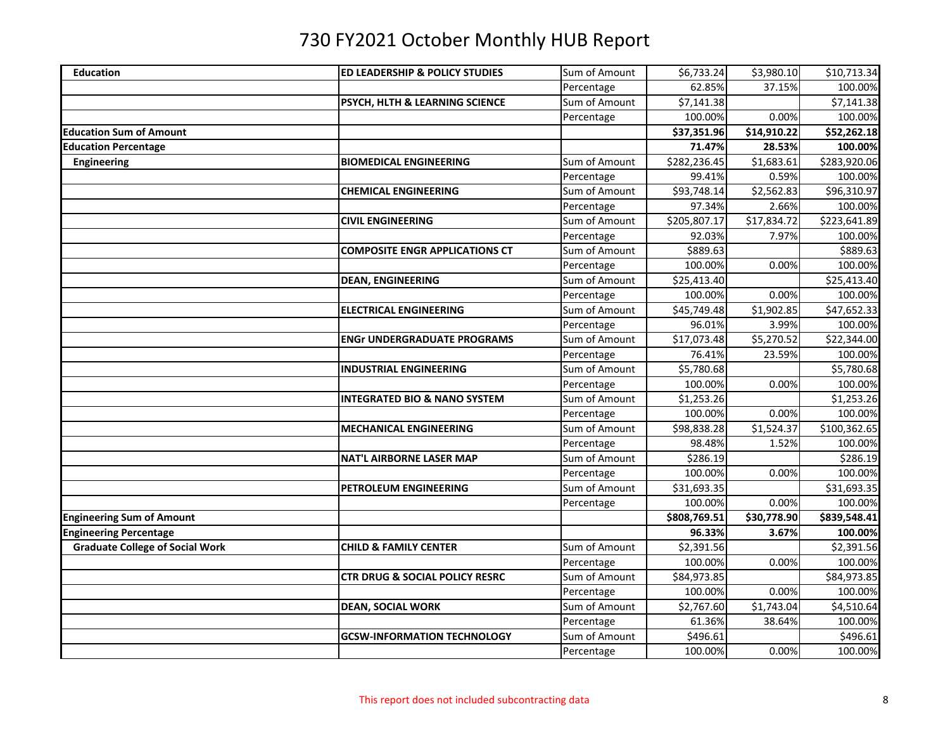| <b>Education</b>                       | ED LEADERSHIP & POLICY STUDIES          | Sum of Amount | \$6,733.24   | \$3,980.10  | \$10,713.34  |
|----------------------------------------|-----------------------------------------|---------------|--------------|-------------|--------------|
|                                        |                                         | Percentage    | 62.85%       | 37.15%      | 100.00%      |
|                                        | PSYCH, HLTH & LEARNING SCIENCE          | Sum of Amount | \$7,141.38   |             | \$7,141.38   |
|                                        |                                         | Percentage    | 100.00%      | 0.00%       | 100.00%      |
| <b>Education Sum of Amount</b>         |                                         |               | \$37,351.96  | \$14,910.22 | \$52,262.18  |
| <b>Education Percentage</b>            |                                         |               | 71.47%       | 28.53%      | 100.00%      |
| <b>Engineering</b>                     | <b>BIOMEDICAL ENGINEERING</b>           | Sum of Amount | \$282,236.45 | \$1,683.61  | \$283,920.06 |
|                                        |                                         | Percentage    | 99.41%       | 0.59%       | 100.00%      |
|                                        | <b>CHEMICAL ENGINEERING</b>             | Sum of Amount | \$93,748.14  | \$2,562.83  | \$96,310.97  |
|                                        |                                         | Percentage    | 97.34%       | 2.66%       | 100.00%      |
|                                        | <b>CIVIL ENGINEERING</b>                | Sum of Amount | \$205,807.17 | \$17,834.72 | \$223,641.89 |
|                                        |                                         | Percentage    | 92.03%       | 7.97%       | 100.00%      |
|                                        | <b>COMPOSITE ENGR APPLICATIONS CT</b>   | Sum of Amount | \$889.63     |             | \$889.63     |
|                                        |                                         | Percentage    | 100.00%      | 0.00%       | 100.00%      |
|                                        | <b>DEAN, ENGINEERING</b>                | Sum of Amount | \$25,413.40  |             | \$25,413.40  |
|                                        |                                         | Percentage    | 100.00%      | 0.00%       | 100.00%      |
|                                        | <b>ELECTRICAL ENGINEERING</b>           | Sum of Amount | \$45,749.48  | \$1,902.85  | \$47,652.33  |
|                                        |                                         | Percentage    | 96.01%       | 3.99%       | 100.00%      |
|                                        | <b>ENGr UNDERGRADUATE PROGRAMS</b>      | Sum of Amount | \$17,073.48  | \$5,270.52  | \$22,344.00  |
|                                        |                                         | Percentage    | 76.41%       | 23.59%      | 100.00%      |
|                                        | <b>INDUSTRIAL ENGINEERING</b>           | Sum of Amount | \$5,780.68   |             | \$5,780.68   |
|                                        |                                         | Percentage    | 100.00%      | 0.00%       | 100.00%      |
|                                        | <b>INTEGRATED BIO &amp; NANO SYSTEM</b> | Sum of Amount | \$1,253.26   |             | \$1,253.26   |
|                                        |                                         | Percentage    | 100.00%      | 0.00%       | 100.00%      |
|                                        | <b>MECHANICAL ENGINEERING</b>           | Sum of Amount | \$98,838.28  | \$1,524.37  | \$100,362.65 |
|                                        |                                         | Percentage    | 98.48%       | 1.52%       | 100.00%      |
|                                        | <b>NAT'L AIRBORNE LASER MAP</b>         | Sum of Amount | \$286.19     |             | \$286.19     |
|                                        |                                         | Percentage    | 100.00%      | 0.00%       | 100.00%      |
|                                        | PETROLEUM ENGINEERING                   | Sum of Amount | \$31,693.35  |             | \$31,693.35  |
|                                        |                                         | Percentage    | 100.00%      | 0.00%       | 100.00%      |
| <b>Engineering Sum of Amount</b>       |                                         |               | \$808,769.51 | \$30,778.90 | \$839,548.41 |
| <b>Engineering Percentage</b>          |                                         |               | 96.33%       | 3.67%       | 100.00%      |
| <b>Graduate College of Social Work</b> | <b>CHILD &amp; FAMILY CENTER</b>        | Sum of Amount | \$2,391.56   |             | \$2,391.56   |
|                                        |                                         | Percentage    | 100.00%      | 0.00%       | 100.00%      |
|                                        | CTR DRUG & SOCIAL POLICY RESRC          | Sum of Amount | \$84,973.85  |             | \$84,973.85  |
|                                        |                                         | Percentage    | 100.00%      | 0.00%       | 100.00%      |
|                                        | <b>DEAN, SOCIAL WORK</b>                | Sum of Amount | \$2,767.60   | \$1,743.04  | \$4,510.64   |
|                                        |                                         | Percentage    | 61.36%       | 38.64%      | 100.00%      |
|                                        | <b>GCSW-INFORMATION TECHNOLOGY</b>      | Sum of Amount | \$496.61     |             | \$496.61     |
|                                        |                                         | Percentage    | 100.00%      | 0.00%       | 100.00%      |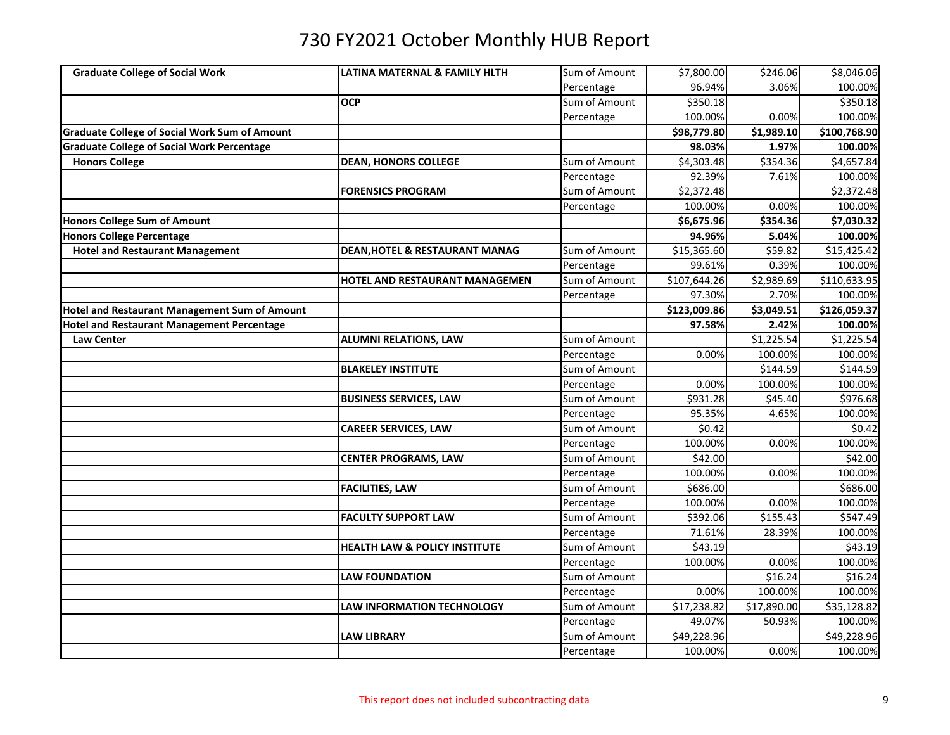| <b>Graduate College of Social Work</b>               | LATINA MATERNAL & FAMILY HLTH             | Sum of Amount | \$7,800.00   | \$246.06    | \$8,046.06          |
|------------------------------------------------------|-------------------------------------------|---------------|--------------|-------------|---------------------|
|                                                      |                                           | Percentage    | 96.94%       | 3.06%       | 100.00%             |
|                                                      | OCP                                       | Sum of Amount | \$350.18     |             | \$350.18            |
|                                                      |                                           | Percentage    | 100.00%      | 0.00%       | 100.00%             |
| <b>Graduate College of Social Work Sum of Amount</b> |                                           |               | \$98,779.80  | \$1,989.10  | \$100,768.90        |
| <b>Graduate College of Social Work Percentage</b>    |                                           |               | 98.03%       | 1.97%       | 100.00%             |
| <b>Honors College</b>                                | <b>DEAN, HONORS COLLEGE</b>               | Sum of Amount | \$4,303.48   | \$354.36    | \$4,657.84          |
|                                                      |                                           | Percentage    | 92.39%       | 7.61%       | 100.00%             |
|                                                      | <b>FORENSICS PROGRAM</b>                  | Sum of Amount | \$2,372.48   |             | \$2,372.48          |
|                                                      |                                           | Percentage    | 100.00%      | 0.00%       | 100.00%             |
| <b>Honors College Sum of Amount</b>                  |                                           |               | \$6,675.96   | \$354.36    | \$7,030.32          |
| Honors College Percentage                            |                                           |               | 94.96%       | 5.04%       | 100.00%             |
| <b>Hotel and Restaurant Management</b>               | <b>DEAN, HOTEL &amp; RESTAURANT MANAG</b> | Sum of Amount | \$15,365.60  | \$59.82     | \$15,425.42         |
|                                                      |                                           | Percentage    | 99.61%       | 0.39%       | 100.00%             |
|                                                      | HOTEL AND RESTAURANT MANAGEMEN            | Sum of Amount | \$107,644.26 | \$2,989.69  | \$110,633.95        |
|                                                      |                                           | Percentage    | 97.30%       | 2.70%       | 100.00%             |
| <b>Hotel and Restaurant Management Sum of Amount</b> |                                           |               | \$123,009.86 | \$3,049.51  | \$126,059.37        |
| <b>Hotel and Restaurant Management Percentage</b>    |                                           |               | 97.58%       | 2.42%       | 100.00%             |
| <b>Law Center</b>                                    | <b>ALUMNI RELATIONS, LAW</b>              | Sum of Amount |              | \$1,225.54  | \$1,225.54          |
|                                                      |                                           | Percentage    | 0.00%        | 100.00%     | 100.00%             |
|                                                      | <b>BLAKELEY INSTITUTE</b>                 | Sum of Amount |              | \$144.59    | \$144.59            |
|                                                      |                                           | Percentage    | 0.00%        | 100.00%     | 100.00%             |
|                                                      | <b>BUSINESS SERVICES, LAW</b>             | Sum of Amount | \$931.28     | \$45.40     | \$976.68            |
|                                                      |                                           | Percentage    | 95.35%       | 4.65%       | 100.00%             |
|                                                      | <b>CAREER SERVICES, LAW</b>               | Sum of Amount | \$0.42       |             | \$0.42              |
|                                                      |                                           | Percentage    | 100.00%      | 0.00%       | 100.00%             |
|                                                      | <b>CENTER PROGRAMS, LAW</b>               | Sum of Amount | \$42.00      |             | $\overline{$}42.00$ |
|                                                      |                                           | Percentage    | 100.00%      | 0.00%       | 100.00%             |
|                                                      | <b>FACILITIES, LAW</b>                    | Sum of Amount | \$686.00     |             | \$686.00            |
|                                                      |                                           | Percentage    | 100.00%      | 0.00%       | 100.00%             |
|                                                      | <b>FACULTY SUPPORT LAW</b>                | Sum of Amount | \$392.06     | \$155.43    | \$547.49            |
|                                                      |                                           | Percentage    | 71.61%       | 28.39%      | 100.00%             |
|                                                      | <b>HEALTH LAW &amp; POLICY INSTITUTE</b>  | Sum of Amount | \$43.19      |             | \$43.19             |
|                                                      |                                           | Percentage    | 100.00%      | 0.00%       | 100.00%             |
|                                                      | <b>LAW FOUNDATION</b>                     | Sum of Amount |              | \$16.24     | \$16.24             |
|                                                      |                                           | Percentage    | 0.00%        | 100.00%     | 100.00%             |
|                                                      | <b>LAW INFORMATION TECHNOLOGY</b>         | Sum of Amount | \$17,238.82  | \$17,890.00 | \$35,128.82         |
|                                                      |                                           | Percentage    | 49.07%       | 50.93%      | 100.00%             |
|                                                      | <b>LAW LIBRARY</b>                        | Sum of Amount | \$49,228.96  |             | \$49,228.96         |
|                                                      |                                           | Percentage    | 100.00%      | 0.00%       | 100.00%             |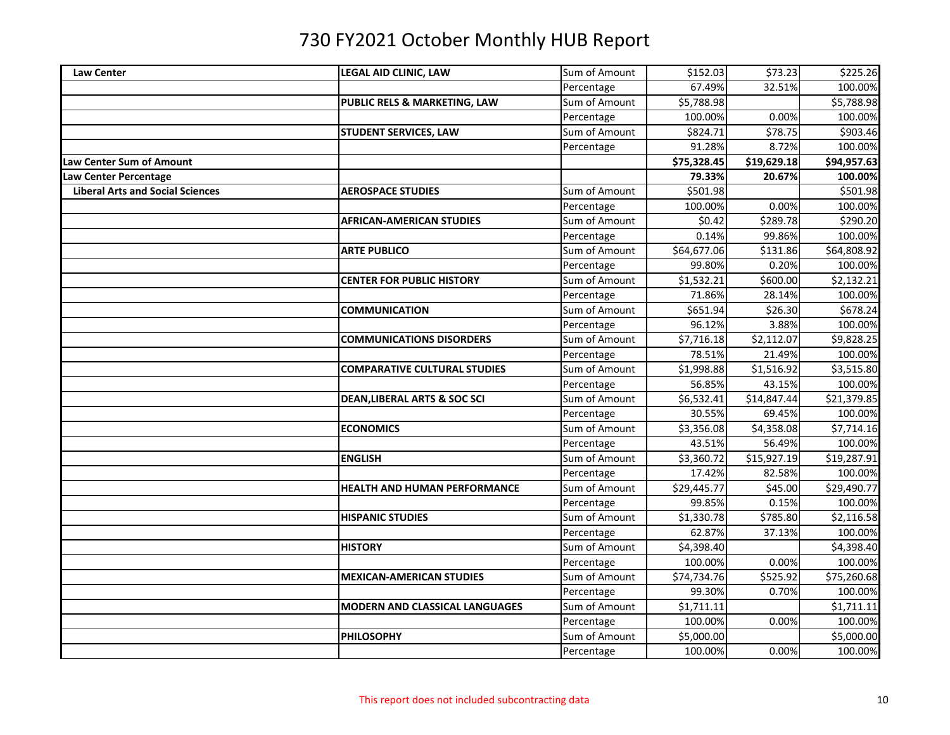| <b>Law Center</b>                       | LEGAL AID CLINIC, LAW                   | Sum of Amount | \$152.03    | \$73.23     | \$225.26    |
|-----------------------------------------|-----------------------------------------|---------------|-------------|-------------|-------------|
|                                         |                                         | Percentage    | 67.49%      | 32.51%      | 100.00%     |
|                                         | PUBLIC RELS & MARKETING, LAW            | Sum of Amount | \$5,788.98  |             | \$5,788.98  |
|                                         |                                         | Percentage    | 100.00%     | 0.00%       | 100.00%     |
|                                         | <b>STUDENT SERVICES, LAW</b>            | Sum of Amount | \$824.71    | \$78.75     | \$903.46    |
|                                         |                                         | Percentage    | 91.28%      | 8.72%       | 100.00%     |
| Law Center Sum of Amount                |                                         |               | \$75,328.45 | \$19,629.18 | \$94,957.63 |
| Law Center Percentage                   |                                         |               | 79.33%      | 20.67%      | 100.00%     |
| <b>Liberal Arts and Social Sciences</b> | <b>AEROSPACE STUDIES</b>                | Sum of Amount | \$501.98    |             | \$501.98    |
|                                         |                                         | Percentage    | 100.00%     | 0.00%       | 100.00%     |
|                                         | <b>AFRICAN-AMERICAN STUDIES</b>         | Sum of Amount | \$0.42      | \$289.78    | \$290.20    |
|                                         |                                         | Percentage    | 0.14%       | 99.86%      | 100.00%     |
|                                         | <b>ARTE PUBLICO</b>                     | Sum of Amount | \$64,677.06 | \$131.86    | \$64,808.92 |
|                                         |                                         | Percentage    | 99.80%      | 0.20%       | 100.00%     |
|                                         | <b>CENTER FOR PUBLIC HISTORY</b>        | Sum of Amount | \$1,532.21  | \$600.00    | \$2,132.21  |
|                                         |                                         | Percentage    | 71.86%      | 28.14%      | 100.00%     |
|                                         | <b>COMMUNICATION</b>                    | Sum of Amount | \$651.94    | \$26.30     | \$678.24    |
|                                         |                                         | Percentage    | 96.12%      | 3.88%       | 100.00%     |
|                                         | <b>COMMUNICATIONS DISORDERS</b>         | Sum of Amount | \$7,716.18  | \$2,112.07  | \$9,828.25  |
|                                         |                                         | Percentage    | 78.51%      | 21.49%      | 100.00%     |
|                                         | <b>COMPARATIVE CULTURAL STUDIES</b>     | Sum of Amount | \$1,998.88  | \$1,516.92  | \$3,515.80  |
|                                         |                                         | Percentage    | 56.85%      | 43.15%      | 100.00%     |
|                                         | <b>DEAN, LIBERAL ARTS &amp; SOC SCI</b> | Sum of Amount | \$6,532.41  | \$14,847.44 | \$21,379.85 |
|                                         |                                         | Percentage    | 30.55%      | 69.45%      | 100.00%     |
|                                         | <b>ECONOMICS</b>                        | Sum of Amount | \$3,356.08  | \$4,358.08  | \$7,714.16  |
|                                         |                                         | Percentage    | 43.51%      | 56.49%      | 100.00%     |
|                                         | <b>ENGLISH</b>                          | Sum of Amount | \$3,360.72  | \$15,927.19 | \$19,287.91 |
|                                         |                                         | Percentage    | 17.42%      | 82.58%      | 100.00%     |
|                                         | <b>HEALTH AND HUMAN PERFORMANCE</b>     | Sum of Amount | \$29,445.77 | \$45.00     | \$29,490.77 |
|                                         |                                         | Percentage    | 99.85%      | 0.15%       | 100.00%     |
|                                         | <b>HISPANIC STUDIES</b>                 | Sum of Amount | \$1,330.78  | \$785.80    | \$2,116.58  |
|                                         |                                         | Percentage    | 62.87%      | 37.13%      | 100.00%     |
|                                         | <b>HISTORY</b>                          | Sum of Amount | \$4,398.40  |             | \$4,398.40  |
|                                         |                                         | Percentage    | 100.00%     | 0.00%       | 100.00%     |
|                                         | <b>MEXICAN-AMERICAN STUDIES</b>         | Sum of Amount | \$74,734.76 | \$525.92    | \$75,260.68 |
|                                         |                                         | Percentage    | 99.30%      | 0.70%       | 100.00%     |
|                                         | <b>MODERN AND CLASSICAL LANGUAGES</b>   | Sum of Amount | \$1,711.11  |             | \$1,711.11  |
|                                         |                                         | Percentage    | 100.00%     | 0.00%       | 100.00%     |
|                                         | <b>PHILOSOPHY</b>                       | Sum of Amount | \$5,000.00  |             | \$5,000.00  |
|                                         |                                         | Percentage    | 100.00%     | 0.00%       | 100.00%     |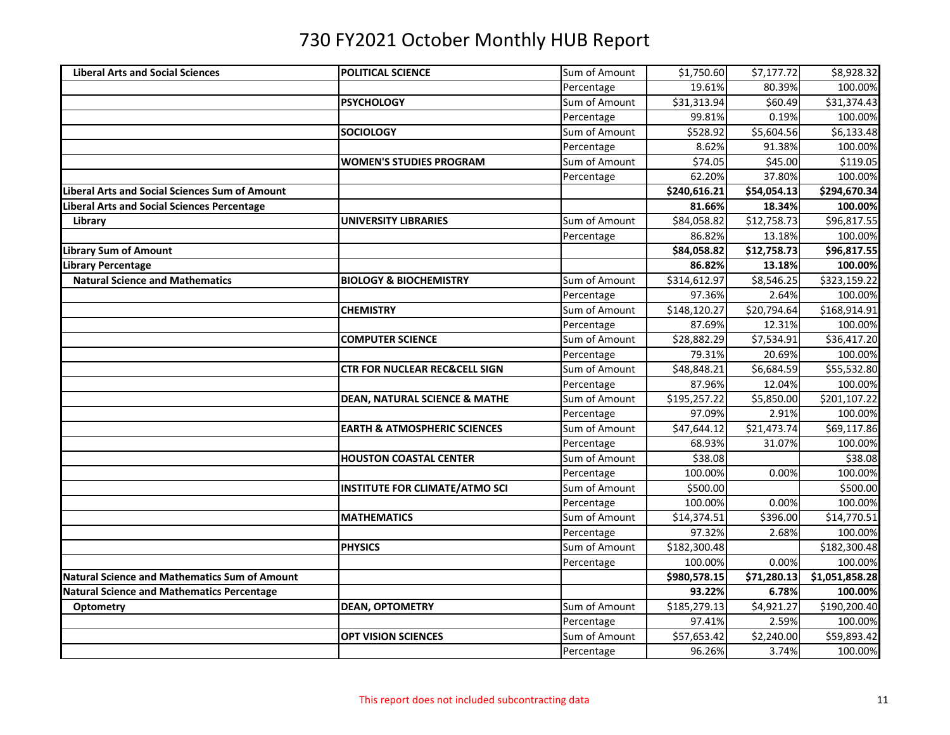| <b>Liberal Arts and Social Sciences</b>               | POLITICAL SCIENCE                        | Sum of Amount | \$1,750.60   | \$7,177.72              | \$8,928.32     |
|-------------------------------------------------------|------------------------------------------|---------------|--------------|-------------------------|----------------|
|                                                       |                                          | Percentage    | 19.61%       | 80.39%                  | 100.00%        |
|                                                       | <b>PSYCHOLOGY</b>                        | Sum of Amount | \$31,313.94  | \$60.49                 | \$31,374.43    |
|                                                       |                                          | Percentage    | 99.81%       | 0.19%                   | 100.00%        |
|                                                       | <b>SOCIOLOGY</b>                         | Sum of Amount | \$528.92     | \$5,604.56              | \$6,133.48     |
|                                                       |                                          | Percentage    | 8.62%        | 91.38%                  | 100.00%        |
|                                                       | <b>WOMEN'S STUDIES PROGRAM</b>           | Sum of Amount | \$74.05      | \$45.00                 | \$119.05       |
|                                                       |                                          | Percentage    | 62.20%       | 37.80%                  | 100.00%        |
| <b>Liberal Arts and Social Sciences Sum of Amount</b> |                                          |               | \$240,616.21 | \$54,054.13             | \$294,670.34   |
| Liberal Arts and Social Sciences Percentage           |                                          |               | 81.66%       | 18.34%                  | 100.00%        |
| Library                                               | <b>UNIVERSITY LIBRARIES</b>              | Sum of Amount | \$84,058.82  | \$12,758.73             | \$96,817.55    |
|                                                       |                                          | Percentage    | 86.82%       | 13.18%                  | 100.00%        |
| <b>Library Sum of Amount</b>                          |                                          |               | \$84,058.82  | \$12,758.73             | \$96,817.55    |
| Library Percentage                                    |                                          |               | 86.82%       | 13.18%                  | 100.00%        |
| <b>Natural Science and Mathematics</b>                | <b>BIOLOGY &amp; BIOCHEMISTRY</b>        | Sum of Amount | \$314,612.97 | \$8,546.25              | \$323,159.22   |
|                                                       |                                          | Percentage    | 97.36%       | 2.64%                   | 100.00%        |
|                                                       | <b>CHEMISTRY</b>                         | Sum of Amount | \$148,120.27 | \$20,794.64             | \$168,914.91   |
|                                                       |                                          | Percentage    | 87.69%       | 12.31%                  | 100.00%        |
|                                                       | <b>COMPUTER SCIENCE</b>                  | Sum of Amount | \$28,882.29  | \$7,534.91              | \$36,417.20    |
|                                                       |                                          | Percentage    | 79.31%       | 20.69%                  | 100.00%        |
|                                                       | <b>CTR FOR NUCLEAR REC&amp;CELL SIGN</b> | Sum of Amount | \$48,848.21  | \$6,684.59              | \$55,532.80    |
|                                                       |                                          | Percentage    | 87.96%       | 12.04%                  | 100.00%        |
|                                                       | <b>DEAN, NATURAL SCIENCE &amp; MATHE</b> | Sum of Amount | \$195,257.22 | \$5,850.00              | \$201,107.22   |
|                                                       |                                          | Percentage    | 97.09%       | 2.91%                   | 100.00%        |
|                                                       | <b>EARTH &amp; ATMOSPHERIC SCIENCES</b>  | Sum of Amount | \$47,644.12  | $\overline{$}21,473.74$ | \$69,117.86    |
|                                                       |                                          | Percentage    | 68.93%       | 31.07%                  | 100.00%        |
|                                                       | <b>HOUSTON COASTAL CENTER</b>            | Sum of Amount | \$38.08      |                         | \$38.08        |
|                                                       |                                          | Percentage    | 100.00%      | 0.00%                   | 100.00%        |
|                                                       | <b>INSTITUTE FOR CLIMATE/ATMO SCI</b>    | Sum of Amount | \$500.00     |                         | \$500.00       |
|                                                       |                                          | Percentage    | 100.00%      | 0.00%                   | 100.00%        |
|                                                       | <b>MATHEMATICS</b>                       | Sum of Amount | \$14,374.51  | \$396.00                | \$14,770.51    |
|                                                       |                                          | Percentage    | 97.32%       | 2.68%                   | 100.00%        |
|                                                       | <b>PHYSICS</b>                           | Sum of Amount | \$182,300.48 |                         | \$182,300.48   |
|                                                       |                                          | Percentage    | 100.00%      | 0.00%                   | 100.00%        |
| <b>Natural Science and Mathematics Sum of Amount</b>  |                                          |               | \$980,578.15 | \$71,280.13             | \$1,051,858.28 |
| <b>Natural Science and Mathematics Percentage</b>     |                                          |               | 93.22%       | 6.78%                   | 100.00%        |
| Optometry                                             | <b>DEAN, OPTOMETRY</b>                   | Sum of Amount | \$185,279.13 | \$4,921.27              | \$190,200.40   |
|                                                       |                                          | Percentage    | 97.41%       | 2.59%                   | 100.00%        |
|                                                       | <b>OPT VISION SCIENCES</b>               | Sum of Amount | \$57,653.42  | \$2,240.00              | \$59,893.42    |
|                                                       |                                          | Percentage    | 96.26%       | 3.74%                   | 100.00%        |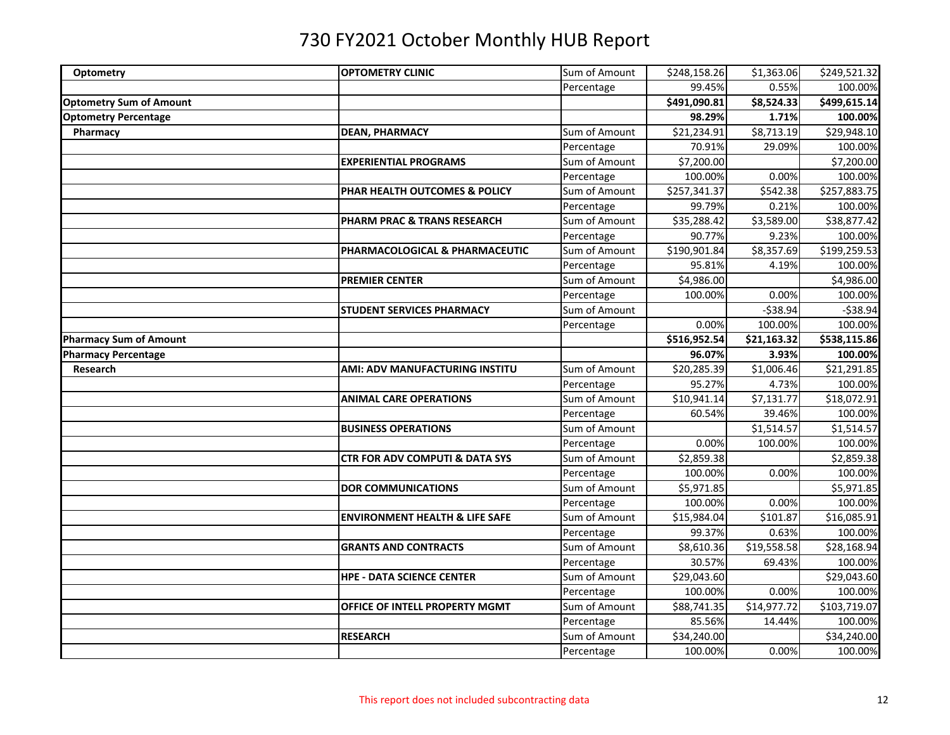| Optometry                      | <b>OPTOMETRY CLINIC</b>                   | Sum of Amount | \$248,158.26 | \$1,363.06  | \$249,521.32 |
|--------------------------------|-------------------------------------------|---------------|--------------|-------------|--------------|
|                                |                                           | Percentage    | 99.45%       | 0.55%       | 100.00%      |
| <b>Optometry Sum of Amount</b> |                                           |               | \$491,090.81 | \$8,524.33  | \$499,615.14 |
| <b>Optometry Percentage</b>    |                                           |               | 98.29%       | 1.71%       | 100.00%      |
| Pharmacy                       | <b>DEAN, PHARMACY</b>                     | Sum of Amount | \$21,234.91  | \$8,713.19  | \$29,948.10  |
|                                |                                           | Percentage    | 70.91%       | 29.09%      | 100.00%      |
|                                | <b>EXPERIENTIAL PROGRAMS</b>              | Sum of Amount | \$7,200.00   |             | \$7,200.00   |
|                                |                                           | Percentage    | 100.00%      | 0.00%       | 100.00%      |
|                                | PHAR HEALTH OUTCOMES & POLICY             | Sum of Amount | \$257,341.37 | \$542.38    | \$257,883.75 |
|                                |                                           | Percentage    | 99.79%       | 0.21%       | 100.00%      |
|                                | <b>PHARM PRAC &amp; TRANS RESEARCH</b>    | Sum of Amount | \$35,288.42  | \$3,589.00  | \$38,877.42  |
|                                |                                           | Percentage    | 90.77%       | 9.23%       | 100.00%      |
|                                | PHARMACOLOGICAL & PHARMACEUTIC            | Sum of Amount | \$190,901.84 | \$8,357.69  | \$199,259.53 |
|                                |                                           | Percentage    | 95.81%       | 4.19%       | 100.00%      |
|                                | <b>PREMIER CENTER</b>                     | Sum of Amount | \$4,986.00   |             | \$4,986.00   |
|                                |                                           | Percentage    | 100.00%      | 0.00%       | 100.00%      |
|                                | <b>STUDENT SERVICES PHARMACY</b>          | Sum of Amount |              | $-538.94$   | $-538.94$    |
|                                |                                           | Percentage    | 0.00%        | 100.00%     | 100.00%      |
| <b>Pharmacy Sum of Amount</b>  |                                           |               | \$516,952.54 | \$21,163.32 | \$538,115.86 |
| <b>Pharmacy Percentage</b>     |                                           |               | 96.07%       | 3.93%       | 100.00%      |
| Research                       | AMI: ADV MANUFACTURING INSTITU            | Sum of Amount | \$20,285.39  | \$1,006.46  | \$21,291.85  |
|                                |                                           | Percentage    | 95.27%       | 4.73%       | 100.00%      |
|                                | <b>ANIMAL CARE OPERATIONS</b>             | Sum of Amount | \$10,941.14  | \$7,131.77  | \$18,072.91  |
|                                |                                           | Percentage    | 60.54%       | 39.46%      | 100.00%      |
|                                | <b>BUSINESS OPERATIONS</b>                | Sum of Amount |              | \$1,514.57  | \$1,514.57   |
|                                |                                           | Percentage    | 0.00%        | 100.00%     | 100.00%      |
|                                | <b>CTR FOR ADV COMPUTI &amp; DATA SYS</b> | Sum of Amount | \$2,859.38   |             | \$2,859.38   |
|                                |                                           | Percentage    | 100.00%      | 0.00%       | 100.00%      |
|                                | <b>DOR COMMUNICATIONS</b>                 | Sum of Amount | \$5,971.85   |             | \$5,971.85   |
|                                |                                           | Percentage    | 100.00%      | 0.00%       | 100.00%      |
|                                | <b>ENVIRONMENT HEALTH &amp; LIFE SAFE</b> | Sum of Amount | \$15,984.04  | \$101.87    | \$16,085.91  |
|                                |                                           | Percentage    | 99.37%       | 0.63%       | 100.00%      |
|                                | <b>GRANTS AND CONTRACTS</b>               | Sum of Amount | \$8,610.36   | \$19,558.58 | \$28,168.94  |
|                                |                                           | Percentage    | 30.57%       | 69.43%      | 100.00%      |
|                                | <b>HPE - DATA SCIENCE CENTER</b>          | Sum of Amount | \$29,043.60  |             | \$29,043.60  |
|                                |                                           | Percentage    | 100.00%      | 0.00%       | 100.00%      |
|                                | OFFICE OF INTELL PROPERTY MGMT            | Sum of Amount | \$88,741.35  | \$14,977.72 | \$103,719.07 |
|                                |                                           | Percentage    | 85.56%       | 14.44%      | 100.00%      |
|                                | <b>RESEARCH</b>                           | Sum of Amount | \$34,240.00  |             | \$34,240.00  |
|                                |                                           | Percentage    | 100.00%      | 0.00%       | 100.00%      |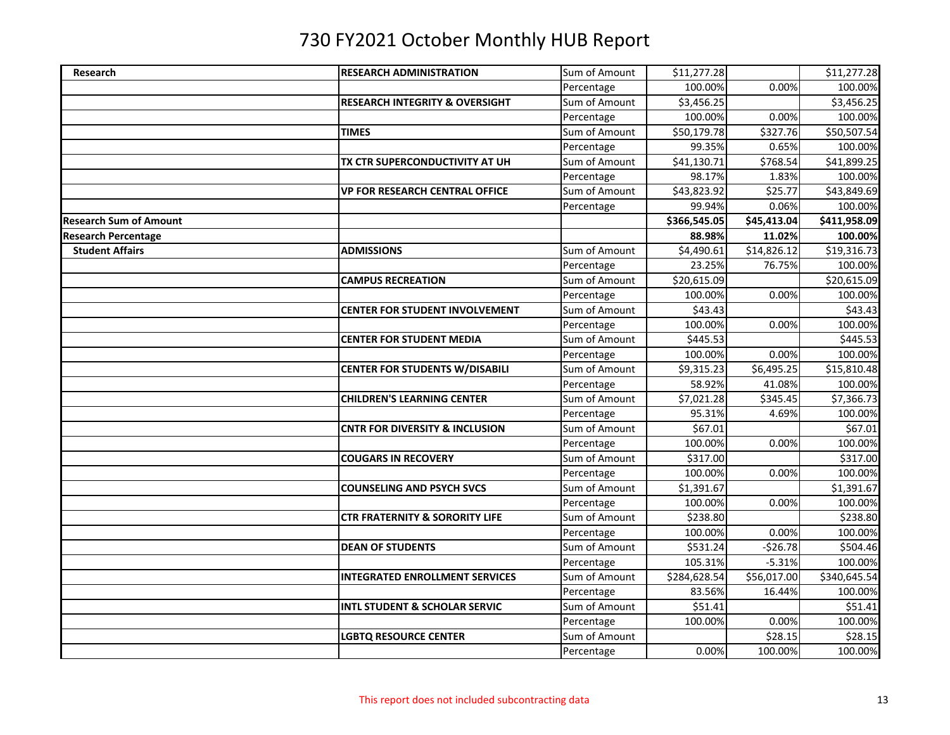| Research                      | <b>RESEARCH ADMINISTRATION</b>            | Sum of Amount | \$11,277.28  |             | \$11,277.28  |
|-------------------------------|-------------------------------------------|---------------|--------------|-------------|--------------|
|                               |                                           | Percentage    | 100.00%      | 0.00%       | 100.00%      |
|                               | <b>RESEARCH INTEGRITY &amp; OVERSIGHT</b> | Sum of Amount | \$3,456.25   |             | \$3,456.25   |
|                               |                                           | Percentage    | 100.00%      | 0.00%       | 100.00%      |
|                               | <b>TIMES</b>                              | Sum of Amount | \$50,179.78  | \$327.76    | \$50,507.54  |
|                               |                                           | Percentage    | 99.35%       | 0.65%       | 100.00%      |
|                               | TX CTR SUPERCONDUCTIVITY AT UH            | Sum of Amount | \$41,130.71  | \$768.54    | \$41,899.25  |
|                               |                                           | Percentage    | 98.17%       | 1.83%       | 100.00%      |
|                               | <b>VP FOR RESEARCH CENTRAL OFFICE</b>     | Sum of Amount | \$43,823.92  | \$25.77     | \$43,849.69  |
|                               |                                           | Percentage    | 99.94%       | 0.06%       | 100.00%      |
| <b>Research Sum of Amount</b> |                                           |               | \$366,545.05 | \$45,413.04 | \$411,958.09 |
| <b>Research Percentage</b>    |                                           |               | 88.98%       | 11.02%      | 100.00%      |
| <b>Student Affairs</b>        | <b>ADMISSIONS</b>                         | Sum of Amount | \$4,490.61   | \$14,826.12 | \$19,316.73  |
|                               |                                           | Percentage    | 23.25%       | 76.75%      | 100.00%      |
|                               | <b>CAMPUS RECREATION</b>                  | Sum of Amount | \$20,615.09  |             | \$20,615.09  |
|                               |                                           | Percentage    | 100.00%      | 0.00%       | 100.00%      |
|                               | <b>CENTER FOR STUDENT INVOLVEMENT</b>     | Sum of Amount | \$43.43      |             | \$43.43      |
|                               |                                           | Percentage    | 100.00%      | 0.00%       | 100.00%      |
|                               | <b>CENTER FOR STUDENT MEDIA</b>           | Sum of Amount | \$445.53     |             | \$445.53     |
|                               |                                           | Percentage    | 100.00%      | 0.00%       | 100.00%      |
|                               | <b>CENTER FOR STUDENTS W/DISABILI</b>     | Sum of Amount | \$9,315.23   | \$6,495.25  | \$15,810.48  |
|                               |                                           | Percentage    | 58.92%       | 41.08%      | 100.00%      |
|                               | <b>CHILDREN'S LEARNING CENTER</b>         | Sum of Amount | \$7,021.28   | \$345.45    | \$7,366.73   |
|                               |                                           | Percentage    | 95.31%       | 4.69%       | 100.00%      |
|                               | <b>CNTR FOR DIVERSITY &amp; INCLUSION</b> | Sum of Amount | \$67.01      |             | \$67.01      |
|                               |                                           | Percentage    | 100.00%      | 0.00%       | 100.00%      |
|                               | <b>COUGARS IN RECOVERY</b>                | Sum of Amount | \$317.00     |             | \$317.00     |
|                               |                                           | Percentage    | 100.00%      | 0.00%       | 100.00%      |
|                               | <b>COUNSELING AND PSYCH SVCS</b>          | Sum of Amount | \$1,391.67   |             | \$1,391.67   |
|                               |                                           | Percentage    | 100.00%      | 0.00%       | 100.00%      |
|                               | <b>CTR FRATERNITY &amp; SORORITY LIFE</b> | Sum of Amount | \$238.80     |             | \$238.80     |
|                               |                                           | Percentage    | 100.00%      | 0.00%       | 100.00%      |
|                               | <b>DEAN OF STUDENTS</b>                   | Sum of Amount | \$531.24     | $-526.78$   | \$504.46     |
|                               |                                           | Percentage    | 105.31%      | $-5.31%$    | 100.00%      |
|                               | <b>INTEGRATED ENROLLMENT SERVICES</b>     | Sum of Amount | \$284,628.54 | \$56,017.00 | \$340,645.54 |
|                               |                                           | Percentage    | 83.56%       | 16.44%      | 100.00%      |
|                               | <b>INTL STUDENT &amp; SCHOLAR SERVIC</b>  | Sum of Amount | \$51.41      |             | \$51.41      |
|                               |                                           | Percentage    | 100.00%      | 0.00%       | 100.00%      |
|                               | <b>LGBTQ RESOURCE CENTER</b>              | Sum of Amount |              | \$28.15     | \$28.15      |
|                               |                                           | Percentage    | 0.00%        | 100.00%     | 100.00%      |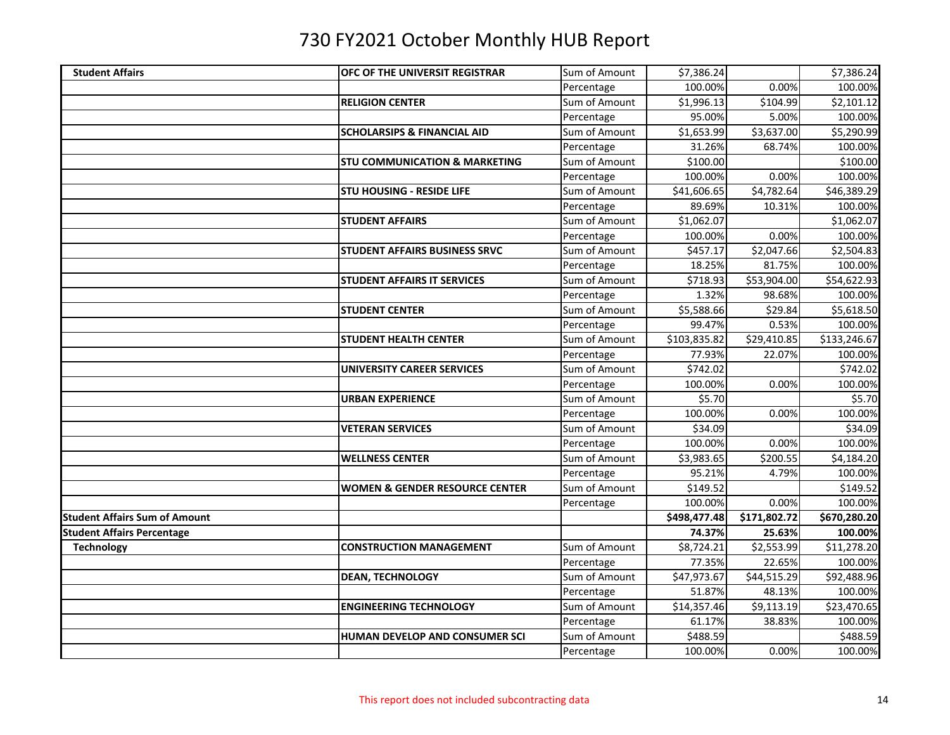| <b>Student Affairs</b>               | <b>OFC OF THE UNIVERSIT REGISTRAR</b>     | Sum of Amount | \$7,386.24   |              | \$7,386.24   |
|--------------------------------------|-------------------------------------------|---------------|--------------|--------------|--------------|
|                                      |                                           | Percentage    | 100.00%      | 0.00%        | 100.00%      |
|                                      | <b>RELIGION CENTER</b>                    | Sum of Amount | \$1,996.13   | \$104.99     | \$2,101.12   |
|                                      |                                           | Percentage    | 95.00%       | 5.00%        | 100.00%      |
|                                      | <b>SCHOLARSIPS &amp; FINANCIAL AID</b>    | Sum of Amount | \$1,653.99   | \$3,637.00   | \$5,290.99   |
|                                      |                                           | Percentage    | 31.26%       | 68.74%       | 100.00%      |
|                                      | <b>STU COMMUNICATION &amp; MARKETING</b>  | Sum of Amount | \$100.00     |              | \$100.00     |
|                                      |                                           | Percentage    | 100.00%      | 0.00%        | 100.00%      |
|                                      | <b>STU HOUSING - RESIDE LIFE</b>          | Sum of Amount | \$41,606.65  | \$4,782.64   | \$46,389.29  |
|                                      |                                           | Percentage    | 89.69%       | 10.31%       | 100.00%      |
|                                      | <b>STUDENT AFFAIRS</b>                    | Sum of Amount | \$1,062.07   |              | \$1,062.07   |
|                                      |                                           | Percentage    | 100.00%      | 0.00%        | 100.00%      |
|                                      | <b>STUDENT AFFAIRS BUSINESS SRVC</b>      | Sum of Amount | \$457.17     | \$2,047.66   | \$2,504.83   |
|                                      |                                           | Percentage    | 18.25%       | 81.75%       | 100.00%      |
|                                      | <b>STUDENT AFFAIRS IT SERVICES</b>        | Sum of Amount | \$718.93     | \$53,904.00  | \$54,622.93  |
|                                      |                                           | Percentage    | 1.32%        | 98.68%       | 100.00%      |
|                                      | <b>STUDENT CENTER</b>                     | Sum of Amount | \$5,588.66   | \$29.84      | \$5,618.50   |
|                                      |                                           | Percentage    | 99.47%       | 0.53%        | 100.00%      |
|                                      | <b>STUDENT HEALTH CENTER</b>              | Sum of Amount | \$103,835.82 | \$29,410.85  | \$133,246.67 |
|                                      |                                           | Percentage    | 77.93%       | 22.07%       | 100.00%      |
|                                      | <b>UNIVERSITY CAREER SERVICES</b>         | Sum of Amount | \$742.02     |              | \$742.02     |
|                                      |                                           | Percentage    | 100.00%      | 0.00%        | 100.00%      |
|                                      | <b>URBAN EXPERIENCE</b>                   | Sum of Amount | \$5.70       |              | \$5.70       |
|                                      |                                           | Percentage    | 100.00%      | 0.00%        | 100.00%      |
|                                      | <b>VETERAN SERVICES</b>                   | Sum of Amount | \$34.09      |              | \$34.09      |
|                                      |                                           | Percentage    | 100.00%      | 0.00%        | 100.00%      |
|                                      | <b>WELLNESS CENTER</b>                    | Sum of Amount | \$3,983.65   | \$200.55     | \$4,184.20   |
|                                      |                                           | Percentage    | 95.21%       | 4.79%        | 100.00%      |
|                                      | <b>WOMEN &amp; GENDER RESOURCE CENTER</b> | Sum of Amount | \$149.52     |              | \$149.52     |
|                                      |                                           | Percentage    | 100.00%      | 0.00%        | 100.00%      |
| <b>Student Affairs Sum of Amount</b> |                                           |               | \$498,477.48 | \$171,802.72 | \$670,280.20 |
| <b>Student Affairs Percentage</b>    |                                           |               | 74.37%       | 25.63%       | 100.00%      |
| <b>Technology</b>                    | <b>CONSTRUCTION MANAGEMENT</b>            | Sum of Amount | \$8,724.21   | \$2,553.99   | \$11,278.20  |
|                                      |                                           | Percentage    | 77.35%       | 22.65%       | 100.00%      |
|                                      | <b>DEAN, TECHNOLOGY</b>                   | Sum of Amount | \$47,973.67  | \$44,515.29  | \$92,488.96  |
|                                      |                                           | Percentage    | 51.87%       | 48.13%       | 100.00%      |
|                                      | <b>ENGINEERING TECHNOLOGY</b>             | Sum of Amount | \$14,357.46  | \$9,113.19   | \$23,470.65  |
|                                      |                                           | Percentage    | 61.17%       | 38.83%       | 100.00%      |
|                                      | <b>HUMAN DEVELOP AND CONSUMER SCI</b>     | Sum of Amount | \$488.59     |              | \$488.59     |
|                                      |                                           | Percentage    | 100.00%      | 0.00%        | 100.00%      |